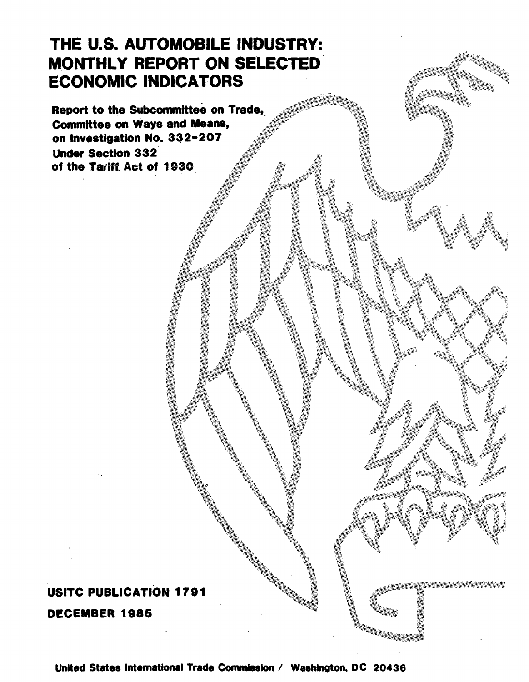# THE U.S. AUTOMOBILE INDUSTRY: MONTHLY REPORT ON SELECTED ECONOMIC INDICATORS

Report to the Subcommittee on Trade,<br>Committee on Ways and Means, on Investigation No. 332-207 Under Section 332 of the Tarift Act of 1930

# USITC PUBLICATION 1791 DECEMBER 1985

United States International Trade Commission / Washington, DC 20436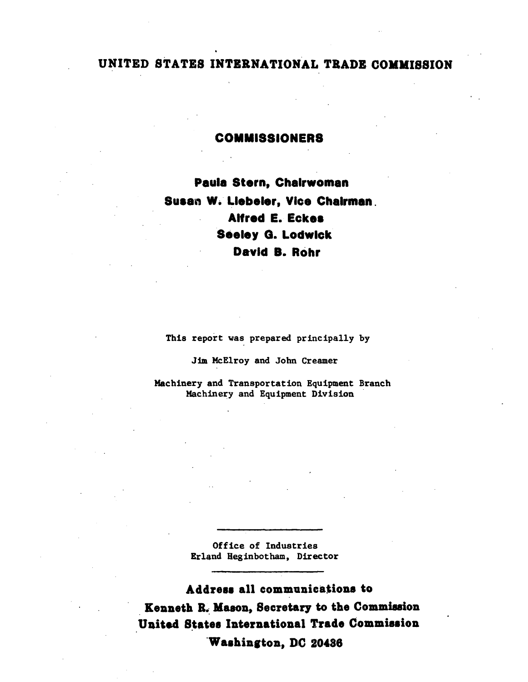# UNITED STATES INTERNATIONAL TRADE COMMISSION

#### **COMMISSIONERS**

Paula Stern, Chairwoman Susan W. Liebeler, Vice Chairman. **Alfred E. Eckes Seeley G. Lodwick** David B. Rohr

This report was prepared principally by

Jim McElroy and John Creamer

Machinery and Transportation Equipment Branch Machinery and Equipment Division

> Office of Industries Erland Heginbotham, Director

Address all communications to Kenneth R. Mason, Secretary to the Commission United States International Trade Commission Washington, DC 20436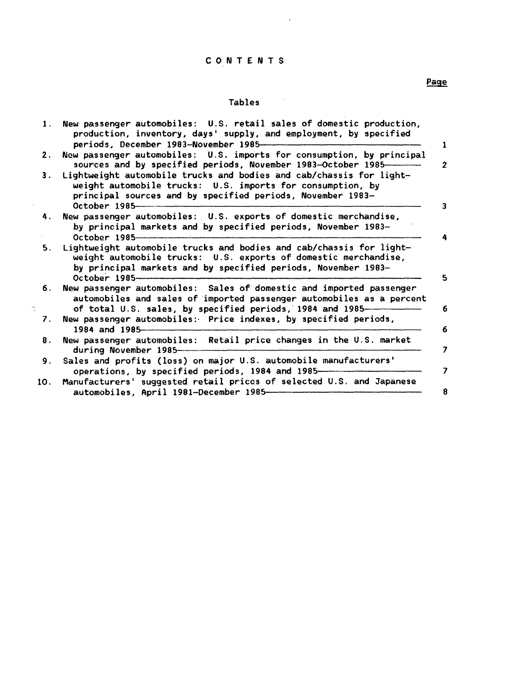# C O N T E N T S

 $\sim$ 

## Tables

|     | 1. New passenger automobiles: U.S. retail sales of domestic production,<br>production, inventory, days' supply, and employment, by specified<br>periods, December 1983-November 1985-                                   |
|-----|-------------------------------------------------------------------------------------------------------------------------------------------------------------------------------------------------------------------------|
| 2.  | New passenger automobiles: U.S. imports for consumption, by principal<br>sources and by specified periods, November 1983-October 1985----------                                                                         |
| 3.  | Lightweight automobile trucks and bodies and cab/chassis for light-<br>weight automobile trucks: U.S. imports for consumption, by<br>principal sources and by specified periods, November 1983-<br>October 1985         |
| 4.  | New passenger automobiles: U.S. exports of domestic merchandise,<br>by principal markets and by specified periods, November 1983-<br>October 1985                                                                       |
| 5.  | Lightweight automobile trucks and bodies and cab/chassis for light-<br>weight automobile trucks: U.S. exports of domestic merchandise,<br>by principal markets and by specified periods, November 1983-<br>October 1985 |
| 6.  | New passenger automobiles: Sales of domestic and imported passenger<br>automobiles and sales of imported passenger automobiles as a percent<br>of total U.S. sales, by specified periods, 1984 and 1985-                |
| 7.  | New passenger automobiles: Price indexes, by specified periods,<br>1984 and 1985-                                                                                                                                       |
| 8.  | New passenger automobiles: Retail price changes in the U.S. market<br>during November 1985-                                                                                                                             |
| 9.  | Sales and profits (loss) on major U.S. automobile manufacturers'<br>operations, by specified periods, 1984 and 1985-                                                                                                    |
| 10. | Manufacturers' suggested retail prices of selected U.S. and Japanese<br>automobiles, April 1981-December 1985-                                                                                                          |

## Page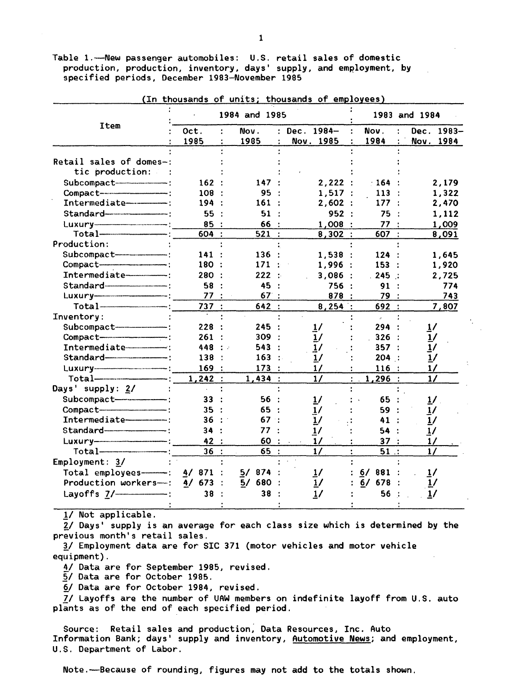Table 1.-Aew passenger automobiles: U.S. retail sales of domestic production, production, inventory, days' supply, and employment, by specified periods, December 1983-November 1985

|                                    |           | 1984 and 1985      |                  |                        | 1983 and 1984 |
|------------------------------------|-----------|--------------------|------------------|------------------------|---------------|
| Item                               | Oct.<br>÷ | Nov.               | Dec. 1984-<br>÷. | Nov.<br>$\ddot{\cdot}$ | Dec. 1983-    |
|                                    | 1985      | 1985               | Nov. 1985<br>÷   | 1984<br>÷              | Nov. 1984     |
|                                    |           |                    |                  |                        |               |
| Retail sales of domes-:            |           |                    |                  |                        |               |
| tic production:                    |           |                    |                  |                        |               |
| Subcompact-                        | 162:      | 147:               | 2,222:           | 164                    | 2,179         |
| Compact--------------------------- | 108 :     | 95                 | 1,517:           | 113                    | 1,322         |
| Intermediate----------             | 194:      | 161                | 2,602:           | 177:                   | 2,470         |
|                                    | 55:       | 51                 | 952:             | 75                     | 1,112         |
|                                    | 85:       | 66 :               | 1,008:           | 77                     | 1,009         |
|                                    | 604 :     | 521:               | 8,302:           | 607:                   | 8,091         |
| Production:                        |           |                    |                  |                        |               |
| Subcompact----------------------   | 141:      | 136:               | 1.538:           | 124:                   | 1,645         |
| Compact-                           | 180 :     | 171:               | 1,996:           | 153:                   | 1,920         |
| Intermediate-                      | 280 :     | 222:               | 3,086:           | .245:                  | 2,725         |
| Standard                           | 58:       | 45<br>$\mathbf{r}$ | 756 :            | 91                     | 774           |
|                                    | 77:       | 67:                | 878 :            | 79 :                   | 743           |
| $Total$ $-$                        | 737:      | 642:               | 8,254:           | 692 :                  | 7,807         |
| Inventory:                         |           |                    |                  |                        |               |
|                                    | 228       | 245                | 1/               | 294 :                  | <u>1</u> /    |
| Compact-                           | 261       | 309                | 1/               | 326                    | 1/            |
| Intermediate ---------------       | 448 :     | 543                | 1/               | 357:                   | 1/            |
|                                    | 138       | 163                | 1/               | 204:                   | 1/            |
|                                    | 169:      | 173:               | 1/               | 116:                   | 17            |
|                                    | 1,242:    | 1,434:             | 1/               | 1,296:                 | $\frac{1}{2}$ |
| Days' supply: 2/                   |           |                    |                  |                        |               |
| Subcompact-----------------------  | 33        | 56:                | $\frac{1}{2}$    | 65.                    | 1/            |
| Compact-                           | 35:       | 65:                |                  | 59                     | 17            |
| Intermediate-----------            | 36:       | 67:                | $\frac{1}{2}$    | 41                     | $\frac{1}{2}$ |
|                                    | 34        | 77                 | $\frac{1}{2}$    | 54                     | 1/            |
|                                    | 42 :      | 60:                | 1/               | 37:                    | 1/            |
|                                    | 36        | 65:                | 1/               | $51$ :<br>$\bullet$    | $\frac{1}{2}$ |
| $Emplogment: 3/$                   |           |                    |                  |                        |               |
| Total employees $-$ 4/871          |           | 5/<br>874          | $\frac{1}{2}$    | 6/881                  | $\frac{1}{2}$ |
| Production workers--:              | $4/673$ : | 5/680:             | $\frac{1}{2}$    | $6/678$ :              |               |
|                                    | 38        | 38                 |                  | 56                     |               |
|                                    |           |                    | 1/               |                        |               |

(In thousands of units; thousands of employees)

!/ Not applicable.

2/ Days' supply is an average for each class size which is determined by the previous month's retail sales.

*11* Employment data are for SIC 371 (motor vehicles and motor vehicle equipment).

4/ Data are for September 1985, revised.

5/ Data are for October 1985.

~/ Data are for October 1984, revised.

*71* Layoffs are the number of UAW members on indefinite layoff from U.S. auto plants as of the end of each specified period.

Source: Retail sales and production, Data Resources, Inc. Auto Information Bank; days' supply and inventory, Automotive News; and employment, U.S. Department of Labor.

Note.-Because of rounding, figures may not add to the totals shown.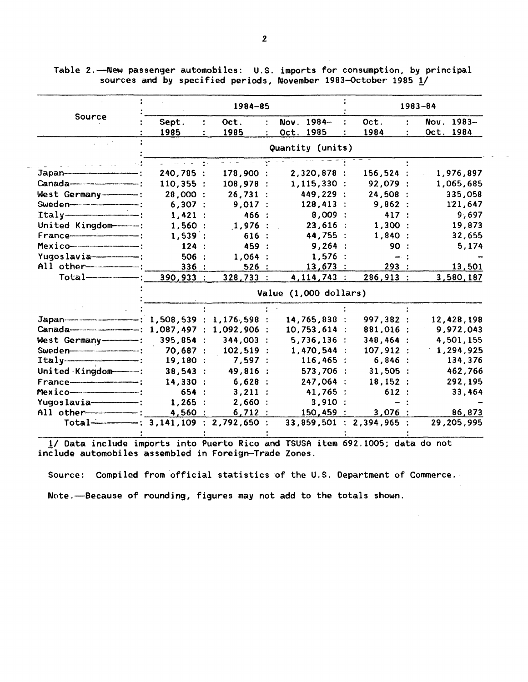Table 2.-New passenger automobiles: U.S. imports for consumption, by principal sources and by specified periods, November 1983-October 1985 1/

|                                                       |                                     | 1984-85                |                 |                          | 1983-84    |  |  |  |  |  |
|-------------------------------------------------------|-------------------------------------|------------------------|-----------------|--------------------------|------------|--|--|--|--|--|
| Source                                                | Sept.                               | Oct.<br>$\ddot{\cdot}$ | Nov. 1984-      | Oct.                     | Nov. 1983- |  |  |  |  |  |
|                                                       | 1985                                | 1985                   | Oct. 1985       | 1984                     | Oct. 1984  |  |  |  |  |  |
|                                                       |                                     | Quantity (units)       |                 |                          |            |  |  |  |  |  |
|                                                       |                                     |                        |                 |                          |            |  |  |  |  |  |
|                                                       | 240,785 :                           | 178,900:               | 2,320,878:      | $156,524$ :              | 1,976,897  |  |  |  |  |  |
|                                                       | 110,355:                            | 108,978:               | 1, 115, 330:    | 92,079 :                 | 1,065,685  |  |  |  |  |  |
| West Germany------------                              | 28,000 :                            | 26.731:                | 449,229 :       | 24,508 :                 | 335,058    |  |  |  |  |  |
|                                                       | 6,307:                              | 9,017:                 | $128,413$ :     | 9,862:                   | 121,647    |  |  |  |  |  |
| $Itally$ = $-$                                        | 1,421:                              | 466 :                  | 8,009:          | 417:                     | 9,697      |  |  |  |  |  |
| United Kingdom                                        | 1,560:                              | $1,976$ :              | 23,616:         | 1,300:                   | 19,873     |  |  |  |  |  |
|                                                       | $1,539$ :                           | 616:                   | 44,755 :        | 1,840:                   | 32,655     |  |  |  |  |  |
| Mexico                                                | 124:                                | 459 :                  | 9,264:          | 90                       | 5,174      |  |  |  |  |  |
| $Yugoslawia$ $---$                                    | 506:                                | 1,064:                 | 1,576:          | ⊸ :                      |            |  |  |  |  |  |
| All other---------------                              | 336:                                | 526:                   | 13,673:         | 293:                     | 13,501     |  |  |  |  |  |
|                                                       | 390,933 :                           | 328,733:               | $4, 114, 743$ : | 286,913:                 | 3,580,187  |  |  |  |  |  |
|                                                       | Value (1,000 dollars)               |                        |                 |                          |            |  |  |  |  |  |
|                                                       |                                     |                        |                 |                          |            |  |  |  |  |  |
|                                                       |                                     |                        | 14,765,838 :    | 997,382:                 | 12,428,198 |  |  |  |  |  |
| Canada----------------------- 1,087,497 : 1,092,906 : |                                     |                        | $10,753,614$ :  | 881,016 :                | 9,972,043  |  |  |  |  |  |
| West Germany-------                                   | 395,854:                            | $344,003$ :            | 5,736,136:      | 348,464:                 | 4,501,155  |  |  |  |  |  |
|                                                       | 70,687:                             | $102,519$ :            | 1,470,544 :     | 107,912 :                | 1,294,925  |  |  |  |  |  |
|                                                       | 19,180:                             | 7,597:                 | 116,465:        | 6,846:                   | 134,376    |  |  |  |  |  |
| United Kingdom                                        | 38,543:                             | 49,816 :               | 573,706 :       | $31,505$ :               | 462,766    |  |  |  |  |  |
|                                                       | 14,330:                             | 6,628:                 | 247,064 :       | 18,152:                  | 292,195    |  |  |  |  |  |
| Mexico                                                | 654 :                               | $3,211$ :              | 41,765 :        | 612:                     | 33,464     |  |  |  |  |  |
| $Yugoslavia$ = $:$                                    | $1,265$ :                           | 2,660:                 | 3,910:          |                          |            |  |  |  |  |  |
| All other-----------                                  | 4,560:                              | 6,712:                 | 150,459:        | 3,076:                   | 86,873     |  |  |  |  |  |
|                                                       | Total—————: 3,141,109 : 2,792,650 : |                        |                 | 33,859,501 : 2,394,965 : | 29,205,995 |  |  |  |  |  |
|                                                       |                                     |                        |                 |                          |            |  |  |  |  |  |

1/ Data include imports into Puerto Rico and TSUSA item 692.1005; data do not include automobiles assembled in Foreign-Trade Zones.

Source: Compiled from official statistics of the U.S. Department of Commerce.

Note.-Because of rounding, figures may not add to the totals shown.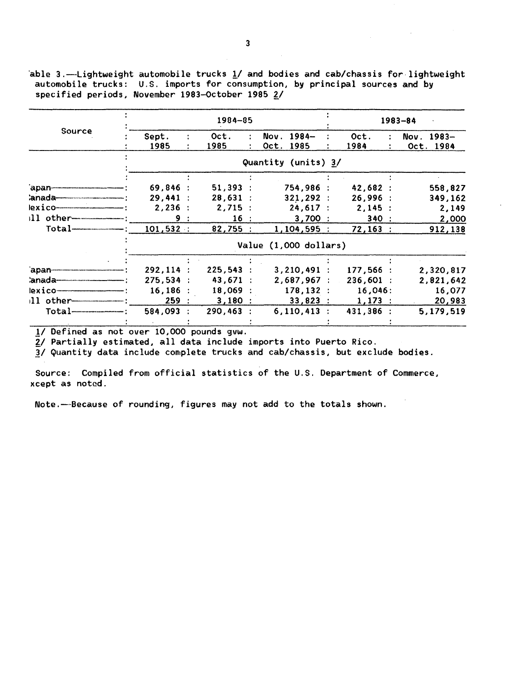able  $3$ .-Lightweight automobile trucks  $1/$  and bodies and cab/chassis for lightweight automobile trucks: U.S. imports for consumption, by principal sources and by specified periods, November 1983-October 1985 2/

|                             |                       | 1984-85  |                       |             | $1983 - 84$      |
|-----------------------------|-----------------------|----------|-----------------------|-------------|------------------|
| Source                      | Sept.                 | Oct.     | $Nov. 1984-$          | Oct.        | $1983 -$<br>Nov. |
|                             | 1985                  | 1985     | Oct. 1985             | 1984        | Oct. 1984        |
|                             |                       |          | Quantity (units) 3/   |             |                  |
|                             |                       |          |                       |             |                  |
| 'apan--------------         | 69,846:               | 51,393:  | 754,986 :             | 42,682:     | 558,827          |
| 'anada---                   | 29.441:               | 28.631:  | 321,292:              | 26,996:     | 349,162          |
| exicon                      | 2,236<br>$\mathbf{r}$ | 2,715:   | 24,617:               | 2,145:      | 2,149            |
| $11$ other                  | 9:                    | 16:      | 3,700:                | 340:        | 2,000            |
| $Total$ $-$                 | 101,532:              | 82,755:  | 1,104,595:            | 72,163:     | 912,138          |
|                             |                       |          | Value (1,000 dollars) |             |                  |
|                             |                       |          |                       |             |                  |
| apan-                       | 292,114:              | 225,543: | $3,210,491$ :         | 177,566:    | 2,320,817        |
|                             | 275.534:              | 43,671:  | 2,687,967:            | $236,601$ : | 2,821,642        |
| lexico-                     | 16,186                | 18,069:  | 178, 132 :            | 16,046:     | 16,077           |
| $11$ other----------------- | 259:                  | 3,180:   | $33,823$ :            | 1,173:      | 20,983           |
|                             | 584,093               | 290,463  | $6,110,413$ :         | 431,386 :   | 5,179,519        |
|                             |                       |          |                       |             |                  |

1/ Defined as not over 10,000 pounds gvw.

2/ Partially estimated, all data include imports into Puerto Rico.

3/ Quantity data include complete trucks and cab/chassis, but exclude bodies.

Source: Compiled from official statistics of the U.S. Department of Commerce, xcept as noted.

Note.-Because of rounding, figures may not add to the totals shown.

 $\label{eq:2.1} \frac{1}{\sqrt{2\pi}}\int_{\mathbb{R}^3}\frac{1}{\sqrt{2\pi}}\left(\frac{1}{\sqrt{2\pi}}\right)^2\frac{1}{\sqrt{2\pi}}\int_{\mathbb{R}^3}\frac{1}{\sqrt{2\pi}}\frac{1}{\sqrt{2\pi}}\frac{1}{\sqrt{2\pi}}\frac{1}{\sqrt{2\pi}}\frac{1}{\sqrt{2\pi}}\frac{1}{\sqrt{2\pi}}\frac{1}{\sqrt{2\pi}}\frac{1}{\sqrt{2\pi}}\frac{1}{\sqrt{2\pi}}\frac{1}{\sqrt{2\pi}}\frac{1}{\sqrt{2\pi}}\frac{$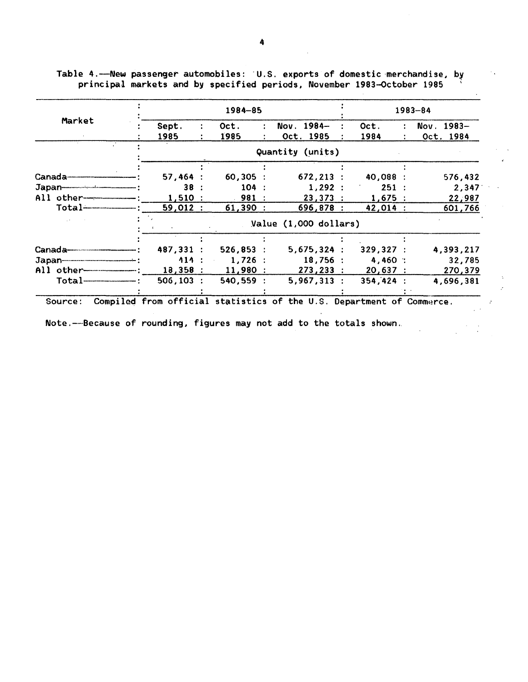|                                                                                                                                                                                                                                                                                                         |                       | 1984-85     |       |                                                                       |  |            | $1983 - 84$ |              |  |
|---------------------------------------------------------------------------------------------------------------------------------------------------------------------------------------------------------------------------------------------------------------------------------------------------------|-----------------------|-------------|-------|-----------------------------------------------------------------------|--|------------|-------------|--------------|--|
| Market                                                                                                                                                                                                                                                                                                  | Sept.                 | Oct.        | ÷     | Nov. 1984-                                                            |  | Oct.       |             | $Nov. 1983-$ |  |
|                                                                                                                                                                                                                                                                                                         | 1985                  | 1985        |       | Oct. 1985                                                             |  | 1984       |             | Oct. 1984    |  |
|                                                                                                                                                                                                                                                                                                         |                       |             |       | Quantity (units)                                                      |  |            |             |              |  |
|                                                                                                                                                                                                                                                                                                         |                       |             |       |                                                                       |  |            |             |              |  |
|                                                                                                                                                                                                                                                                                                         | 57,464:               | $60,305$ :  |       | $672, 213$ :                                                          |  | 40,088 :   |             | 576,432      |  |
| Japan————————                                                                                                                                                                                                                                                                                           | 38:                   |             | 104:  | 1,292:                                                                |  | 251:       |             | 2,347        |  |
| All other $   \cdots$                                                                                                                                                                                                                                                                                   | 1,510:                |             | .981: | 23,373:                                                               |  | 1,675:     |             | 22,987       |  |
| Total <del>-------------</del> -                                                                                                                                                                                                                                                                        | 59,012:               | $61,390$ :  |       | 696,878 :                                                             |  | 42,014:    |             | 601,766      |  |
|                                                                                                                                                                                                                                                                                                         | Value (1,000 dollars) |             |       |                                                                       |  |            |             |              |  |
|                                                                                                                                                                                                                                                                                                         |                       |             |       |                                                                       |  |            |             |              |  |
|                                                                                                                                                                                                                                                                                                         | 487.331 :             | 526,853     |       | 5,675,324:                                                            |  | 329,327:   |             | 4,393,217    |  |
| $Japan$ = $\frac{1}{2}$ = $\frac{1}{2}$ = $\frac{1}{2}$ = $\frac{1}{2}$ = $\frac{1}{2}$ = $\frac{1}{2}$ = $\frac{1}{2}$ = $\frac{1}{2}$ = $\frac{1}{2}$ = $\frac{1}{2}$ = $\frac{1}{2}$ = $\frac{1}{2}$ = $\frac{1}{2}$ = $\frac{1}{2}$ = $\frac{1}{2}$ = $\frac{1}{2}$ = $\frac{1}{2}$ = $\frac{1}{2}$ | $-111:$               | 1.726:      |       | 18,756:                                                               |  | $4,460$ :  |             | 32,785       |  |
|                                                                                                                                                                                                                                                                                                         | 18,358:               | $11,980$ :  |       | 273,233:                                                              |  | 20,637:    |             | 270,379      |  |
| $Total$ $-$                                                                                                                                                                                                                                                                                             | $506, 103$ :          | $540,559$ : |       | $5,967,313$ :                                                         |  | 354, 424 : |             | 4,696,381    |  |
|                                                                                                                                                                                                                                                                                                         |                       |             |       |                                                                       |  |            |             |              |  |
| Source:                                                                                                                                                                                                                                                                                                 |                       |             |       | Compiled from official statistics of the U.S. Department of Commerce. |  |            |             |              |  |

Table 4.-New passenger automobiles: U.S. exports of domestic merchandise, by principal markets and by specified periods, November 1983-0ctober 1985 '

 $\mathcal{O}_{\mathcal{A}}$ 

 $\cdot$ 

 $\hat{\boldsymbol{z}}$ 

Note.--Because of rounding, figures may not add to the totals shown.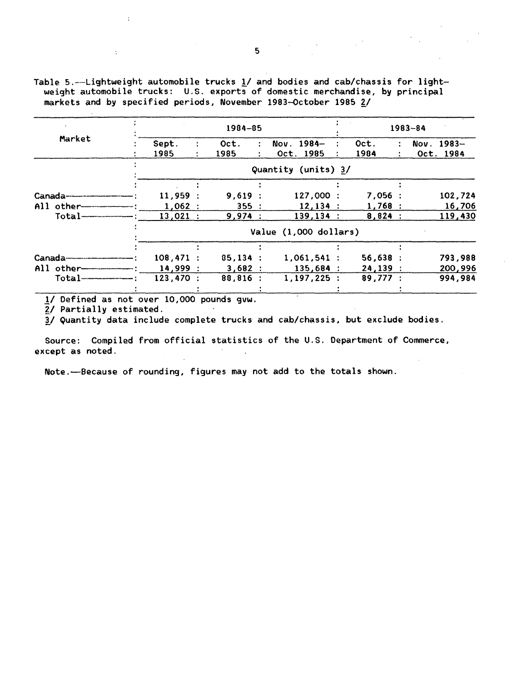Table 5.--Lightweight automobile trucks  $1/$  and bodies and cab/chassis for lightweight automobile trucks: U.S. exports of domestic merchandise, by principal markets and by specified periods, November 1983-October 1985 2/

|                                   |             | 1984-85    |                         | $1983 - 84$ |              |  |  |
|-----------------------------------|-------------|------------|-------------------------|-------------|--------------|--|--|
| Market                            | Sept.       | Oct.       | Nov. 1984-              | Oct.        | Nov. $1983-$ |  |  |
|                                   | 1985        | 1985       | Oct. 1985               | 1984        | Oct. 1984    |  |  |
|                                   |             |            | Quantity (units) 3/     |             |              |  |  |
|                                   |             |            |                         |             |              |  |  |
| Canada———————                     | 11,959:     | 9,619:     | 127,000:                | 7,056:      | 102,724      |  |  |
| $All$ other $-$                   | 1,062:      | 355:       | 12,134:                 | 1,768:      | 16,706       |  |  |
| $Total$ $\overline{\phantom{a}1}$ | 13,021 :    | 9,974:     | 139, 134:               | 8,824:      | 119,430      |  |  |
|                                   |             |            | Value $(1,000$ dollars) |             |              |  |  |
|                                   |             |            |                         |             |              |  |  |
|                                   | $108,471$ : | 85,134:    | $1,061,541$ :           | $56,638$ :  | 793,988      |  |  |
| All other                         | 14,999:     | 3,682:     | $135,684$ :             | 24,139:     | 200,996      |  |  |
| $Total--$                         | 123,470:    | $88,816$ : | 1, 197, 225:            | 89,777:     | 994,984      |  |  |
|                                   |             |            |                         |             |              |  |  |

1/ Defined as not over 10,000 pounds gvw.

2/ Partially estimated.

3/ Quantity data include complete trucks and cab/chassis, but exclude bodies.

Source: Compiled from official statistics of the U.S. Department of Commerce, except as noted.

Note.-Because of rounding, figures may not add to the totals shown.

 $\label{eq:2.1} \frac{1}{\sqrt{2\pi}}\int_{0}^{\infty}\frac{1}{\sqrt{2\pi}}\left(\frac{1}{\sqrt{2\pi}}\right)^{2\alpha} \frac{d\alpha}{\alpha} \,d\beta\,.$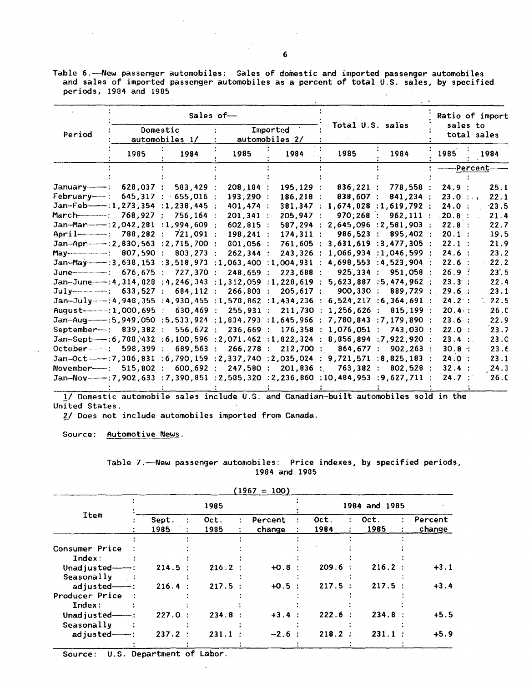Table 6.--New passenger automobiles: Sales of domestic and imported passenger automobiles and sales of imported passenger automobiles as a percent of total U.S. sales, by specified periods, 1904 and 1905 

|                                                                                                  |           |                            | Sales of-                  |              | Total U.S. sales                 |                           | sales to    | Ratio of import   |  |
|--------------------------------------------------------------------------------------------------|-----------|----------------------------|----------------------------|--------------|----------------------------------|---------------------------|-------------|-------------------|--|
| Period                                                                                           |           | Domestic<br>automobiles 1/ | Imported<br>automobiles 2/ |              |                                  |                           | total sales |                   |  |
|                                                                                                  | 1985      | 1984                       | 1985                       | 1984         | 1985                             | 1984                      | 1985        | 1984              |  |
|                                                                                                  |           |                            |                            |              |                                  |                           |             | <b>Percent</b> -  |  |
|                                                                                                  |           |                            |                            |              |                                  |                           |             |                   |  |
|                                                                                                  | 628,037 : | 583,429                    | 208,184 :                  | 195.129:     | 836,221 :                        | 778,558                   | 24.9:       | 25.1              |  |
| Februarv—— :                                                                                     |           | 645,317 : 655,016          | 193,290 :                  | $186, 218$ : | 838,607 :                        | 841,234 :                 | 23.0:       | 22.1              |  |
| $Jan-Feb-----:1,273,354 :1,238,445 :$                                                            |           |                            | 401,474 :                  |              | 381,347 : 1,674,828 :1,619,792 : |                           | 24.0:       | $-23.5$           |  |
|                                                                                                  |           | 756.164:                   | 201.341:                   | 205.947:     | 970.268:                         | 962.111:                  | 20.8:       | 21.4              |  |
| Jan-Mar--------- : 2,042,281 : 1,994,609 :                                                       |           |                            | $602,815$ :                | 587.294:     |                                  | $2,645,096$ : 2,581,903 : | 22.8:       | 22.7              |  |
| April—————: 788,282 :                                                                            |           | $721,091$ :                | $198, 241$ :               | 174.311:     | 986,523                          | $895,402$ :               | $20.1$ :    | 19.5              |  |
| Jan-Apr--------: 2,830,563 : 2,715,700 :                                                         |           |                            | 801.056:                   | 761.605:     |                                  | 3.631.619 : 3.477.305 :   | 22.1:       | 21.9              |  |
| May------------------: 807,590 :                                                                 |           | $803, 273$ :               | 262,344:                   |              | 243,326 : 1,066,934 :1,046,599 : |                           | 24.6:       | 23.2              |  |
| Jan-May ----- : 3,638,153 : 3,518,973 : 1,063,400 : 1,004,931 : 4,698,553 : 4,523,904 :          |           |                            |                            |              |                                  |                           | 22.6:       | 22.2              |  |
| June-------------: 676,675 :                                                                     |           | 727.370 :                  | 248,659 :                  | 223,688 :    | 925.334:                         | 951.058 :                 | 26.9:       | 23'.5             |  |
| Jan-June----: 4, 314, 828 : 4, 246, 343 : 1, 312, 059 : 1, 228, 619 :                            |           |                            |                            |              |                                  | 5.623.887 : 5.474.962 :   | 23.3:       | 22.4              |  |
|                                                                                                  |           | 684, 112 :                 | $266,803$ :                | $205,617$ :  | 900, 330:                        | 889,729:                  | 29.6:       | 23.1              |  |
| $Jan-July---:4,948,355 :4,930,455 :1,578,862 :1,434,236 :$                                       |           |                            |                            |              |                                  | 6,524,217:6,364,691:      | 24.2:       | $\therefore$ 22.5 |  |
| August------------ : 1,000,695 :                                                                 |           | 630,469:                   | 255,931:                   | $211,730$ :  | $1,256,626$ :                    | 815.199:                  | 20.4        | 26.C              |  |
|                                                                                                  |           |                            |                            |              |                                  |                           | 23.6        | 22.9              |  |
| September-: 839,382 :                                                                            |           | 556.672:                   | 236,669:                   |              | 176,358 : 1,076,051 :            | 743.030:                  | 22.0:       | 23.7              |  |
| Jan-Sept---: 6,788,432:6,100,596:2,071,462:1,822,324:8,856,894:7,922,920:                        |           |                            |                            |              |                                  |                           | 23.4 :      | 23.0              |  |
| October--------: 598,399 :                                                                       |           | 689,563:                   | 266, 278:                  | 212,700 :    | 864,677:                         | 902.263:                  | 30.8:       | 23.6              |  |
| $Jan-Oct---:7, 306, 831 : 6, 790, 159 : 2, 337, 740 : 2, 035, 024 : 9, 721, 571 : 8, 825, 183 :$ |           |                            |                            |              |                                  |                           | 24.0:       | 23.1              |  |
| November--- : 515,802 :                                                                          |           | 600.692:                   | 247,580:                   | $201,836$ :  | 763.382:                         | 802.528:                  | 32.4 :      | 24.3              |  |
|                                                                                                  |           |                            |                            |              |                                  |                           | 24.7:       | 26.0              |  |
|                                                                                                  |           |                            |                            |              |                                  |                           |             |                   |  |

1/ Domestic automobile sales include U.S. and Canadian-built automobiles sold in the United States.

£/ Does not include automobiles imported from Canada.

Source: Automotive News.

|  | Table 7.——New passenger automobiles:  Price indexes, by specified periods, |               |  |  |
|--|----------------------------------------------------------------------------|---------------|--|--|
|  |                                                                            | 1984 and 1985 |  |  |

|                         |               |              | $(1967 = 100)$    |               |              |                   |  |  |
|-------------------------|---------------|--------------|-------------------|---------------|--------------|-------------------|--|--|
|                         |               | 1985         |                   | 1984 and 1985 |              |                   |  |  |
| <b>Ttem</b>             | Sept.<br>1985 | Oct.<br>1985 | Percent<br>change | Oct.<br>1984  | Oct.<br>1985 | Percent<br>change |  |  |
|                         |               |              |                   |               |              |                   |  |  |
| Consumer Price          |               |              |                   |               |              |                   |  |  |
| Index:                  |               |              |                   |               |              |                   |  |  |
| Unadjusted $--$ :       | 214.5         | $216.2$ :    | $+0.8$            | $209.6$ :     | 216.2 :      | $+3.1$            |  |  |
| Seasonally<br>$\sim$ 1  |               |              |                   |               |              |                   |  |  |
| $adjusted$ $-$ :        | 216.4         | 217.5:       | $+0.5$ :          | 217.5         | 217.5        | $+3.4$            |  |  |
| Producer Price          |               |              |                   |               |              |                   |  |  |
| Index:                  |               |              |                   |               |              |                   |  |  |
| Unadjusted—— $\cdots$ : | 227.0         | 234.8:       | $+3.4 :$          | 222.6:        | 234.8:       | $+5.5$            |  |  |
| Seasonally              |               |              |                   |               |              |                   |  |  |
| $adjusted$ $-$ :        | 237.2         | 231.1        | $-2.6$ :          | 218.2         | 231.1        | $+5.9$            |  |  |

1984 and 1905

Source: U.S. Department of Labor.

6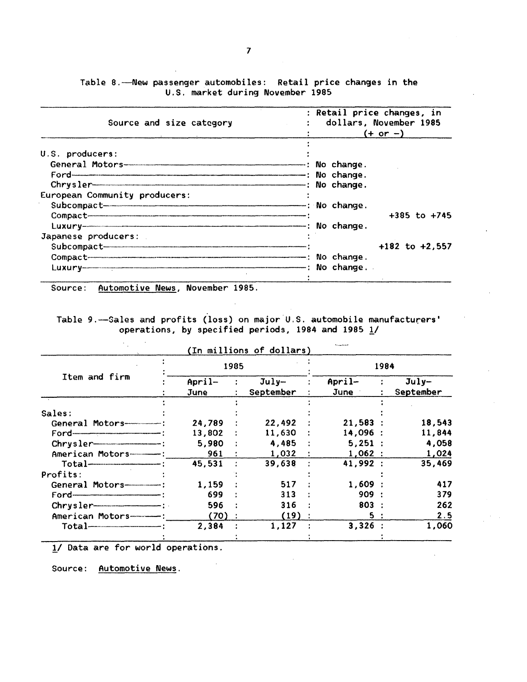Table 8.-New passenger automobiles: Retail price changes in the U.S. market during November 1985

| Source and size category      | : Retail price changes, in<br>dollars, November 1985<br>$(+ or -)$ |  |  |  |
|-------------------------------|--------------------------------------------------------------------|--|--|--|
| U.S. producers:               |                                                                    |  |  |  |
|                               |                                                                    |  |  |  |
|                               |                                                                    |  |  |  |
| $Chrysler$ No change.         |                                                                    |  |  |  |
| European Community producers: |                                                                    |  |  |  |
|                               |                                                                    |  |  |  |
|                               | $+385$ to $+745$                                                   |  |  |  |
| Japanese producers:           |                                                                    |  |  |  |
|                               | $+182$ to $+2,557$                                                 |  |  |  |
| Compact No change.            |                                                                    |  |  |  |
|                               |                                                                    |  |  |  |

Source: Automotive News, November 1985.

Table 9.-Sales and profits (loss) on major U.S. automobile manufacturers' operations, by specified periods, 1984 and 1985  $\underline{1}$ /

|                                  |                  | (In millions of dollars) | <b>Formation</b>   |                      |  |  |
|----------------------------------|------------------|--------------------------|--------------------|----------------------|--|--|
|                                  | 1985             |                          |                    | 1984                 |  |  |
| Item and firm                    | $April-$<br>June | $July-$<br>September     | $April-$<br>June 1 | $July-$<br>September |  |  |
| Sales:                           |                  |                          |                    |                      |  |  |
| General Motors---------------    | 24,789           | 22,492                   | 21,583:            | 18,543               |  |  |
| $\mathsf{Ford}$ = $\blacksquare$ | 13,802           | $11,630$ :               | 14,096:            | 11,844               |  |  |
|                                  | 5,980            | 4,485                    | 5,251:             | 4,058                |  |  |
| American Motors-------------     | 961              | $1,032$ :                | 1,062:             | 1,024                |  |  |
| $Total$ - $\qquad$ :             | 45,531           | 39,638                   | 41,992 :           | 35,469               |  |  |
| Profits:                         |                  |                          |                    |                      |  |  |
| General Motors--------------     | 1,159            | 517                      | 1,609:             | 417                  |  |  |
|                                  | 699              | 313                      | 909:               | 379                  |  |  |
|                                  | 596              | 316                      | 803:               | 262                  |  |  |
| American Motors-----             | (70)             | (19)                     | 5:                 | 2.5                  |  |  |
|                                  | 2,384            | 1,127                    | 3,326:             | 1,060                |  |  |
|                                  |                  |                          |                    |                      |  |  |

!/ Data are for world operations.

Source: Automotive News.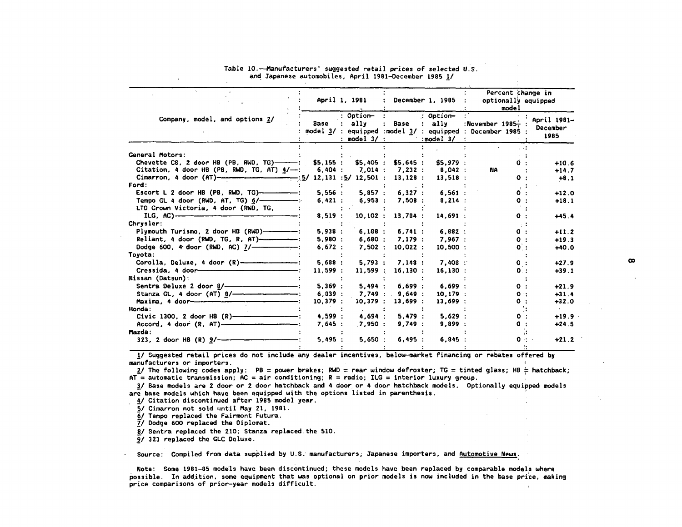|                                                                  |         | April 1, 1981                           |                  | December 1, 1985 :                                        | Percent change in<br>optionally equipped<br>model                                      |                                 |  |
|------------------------------------------------------------------|---------|-----------------------------------------|------------------|-----------------------------------------------------------|----------------------------------------------------------------------------------------|---------------------------------|--|
| Company, model, and options 2/                                   | Base    | : Option-<br>: ally<br>$:$ model $3/$ : | Base             | : Option-<br>: ally<br>$\therefore$ model 3/ $\therefore$ | :November $1985-$ :<br>model $3/$ : equipped : model $3/$ : equipped : December 1985 : | April 1981-<br>December<br>1985 |  |
| General Motors:                                                  |         |                                         |                  |                                                           |                                                                                        |                                 |  |
| Chevette CS, 2 door HB (PB, RWD, TG) ------: \$5,155 : \$5,405 : |         |                                         | \$5,645:         | \$5,979:                                                  |                                                                                        | $+10.6$                         |  |
| Citation, 4 door HB (PB, RWD, TG, AT) $4/-$ : 6,404 : 7,014 :    |         |                                         | 7.232:           | 8,042 :                                                   | <b>NA</b>                                                                              | $+14.7$                         |  |
|                                                                  |         |                                         | 13,128:          | 13,518:                                                   | 0.                                                                                     | $+8.1$                          |  |
| Ford:                                                            |         |                                         |                  |                                                           |                                                                                        |                                 |  |
|                                                                  | 5,556:  | 5.857:                                  | 6,327:           | 6,561:                                                    |                                                                                        | $+12.0$                         |  |
| Tempo GL 4 door (RWD, AT, TG) $6/$ -------------                 | 6.421:  | $6,953$ :                               | 7.508:           | 8.214:                                                    |                                                                                        | $+18.1$                         |  |
| LTD Crown Victoria, 4 door (RWD, TG,                             |         |                                         |                  |                                                           |                                                                                        |                                 |  |
| $ILG, AC)$ -                                                     | 8,519:  | 10,102:                                 | 13,704:          | 14,691:                                                   |                                                                                        | $+45.4$                         |  |
| Chrysler:                                                        |         |                                         |                  |                                                           |                                                                                        |                                 |  |
| Plymouth Turismo, 2 door HB (RWD)-----------                     | 5,938:  | 6,188:                                  | 6,741:           | 6,882:                                                    | 0.                                                                                     | $+11.2$                         |  |
| Reliant, 4 door (RWD, TG, R, AT)-------------                    | 5,980:  |                                         | $6,680$ : 7,179: | 7,967:                                                    | $\mathbf{o}$ .                                                                         | $+19.3$                         |  |
| Dodge 600, 4 door (RWD, AC) 7/-----------------                  | 6.672:  | 7,502:                                  | 10,022:          | $10,500$ :                                                | $0$ :                                                                                  | $+40.0$                         |  |
| Toyota:                                                          |         |                                         |                  |                                                           |                                                                                        |                                 |  |
| Corolla, Deluxe, 4 door (R)----------------------                | 5.688:  | 5.793:                                  | 7,148:           | $7,408$ :                                                 | $\mathbf{o}$ :                                                                         | $+27.9$                         |  |
| Cressida, 4 door                                                 | 11,599: | 11.599:                                 | 16,130:          | 16,130:                                                   |                                                                                        | $+39.1$                         |  |
| Nissan (Datsun):                                                 |         |                                         |                  |                                                           |                                                                                        |                                 |  |
| Sentra Deluxe 2 door 8/-------------------------------           | 5,369:  | 5.494:                                  | 6,699:           | 6.699:                                                    | 0 :                                                                                    | $+21.9$                         |  |
| Stanza GL, 4 door (AT) 0/-------------------------               | 6.039:  |                                         | 7.749:9.649:     | 10.179:                                                   |                                                                                        | $+31.4$                         |  |
|                                                                  | 10,379: | 10,379:                                 | 13,699:          | 13,699 :                                                  |                                                                                        | $+32.0$                         |  |
| Honda:                                                           |         |                                         |                  |                                                           |                                                                                        |                                 |  |
| Civic 1300, 2 door HB $(R)$ ---------------------                | 4,599 : | 4,694:                                  | 5,479:           | 5,629:                                                    | 0 :                                                                                    | $+19.9$                         |  |
|                                                                  | 7.645:  | 7.950:                                  | 9,749:           | 9.899:                                                    | $\mathbf{a}$                                                                           | $+24.5$                         |  |
| Mazda:                                                           |         |                                         |                  |                                                           |                                                                                        |                                 |  |
| 323, 2 door HB $(R)$ 9/--                                        | 5,495:  | 5,650:                                  | 6,495:           | 6.845:                                                    |                                                                                        | $+21.2$                         |  |
|                                                                  |         |                                         |                  |                                                           |                                                                                        |                                 |  |

#### Table 10.--Manufacturers' suggested retail prices of selected U.S. and Japanese automobiles, April 1981-December 1985 1/

!/ Suggested retail prices do not include any dealer incentives, below-market financing or rebates offered by manufacturers or importers.

2/ The following codes apply: PB = power brakes; RWD = rear window defroster; TG = tinted glass; HB = hatchback; AT = automatic transmission; AC = air conditioning; R = radio; ILG = interior luxury group.

3/ Base models are 2 door or 2 door hatchback and 4 door. or 4 door hatchback models. Optionally equipped models are base models which have been equipped with the options listed in parenthesis. '

**4/ Citation discontinued after 1985 model year.** 

5/ Cimarron not sold until May 21, 1981.

*<sup>61</sup>*Tempo replaced the Fairmont Futura. *fl* Dodge 600 replaced the Diplomat.

B/ Sentra replaced the 210; Stanza replaced.the 510. *2t* 323 replaced the GLC Deluxe.

Source: Compiled from data supplied by U.S. manufacturers; Japanese importers, and Automotive News.

Note: Some 1981-05 models have been discontinued; these models have been replaced by comparable models where possible. In addition, some equipment that was optional on prior models is now included in the base price, making price comparisons of prior-year models difficult.